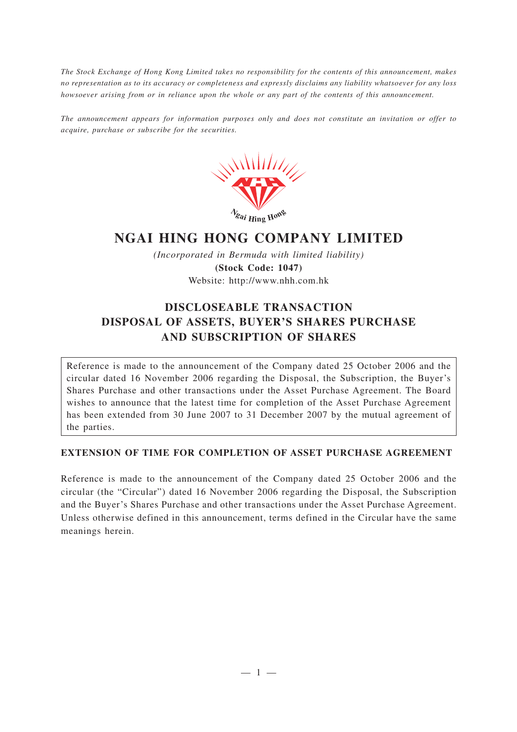*The Stock Exchange of Hong Kong Limited takes no responsibility for the contents of this announcement, makes no representation as to its accuracy or completeness and expressly disclaims any liability whatsoever for any loss howsoever arising from or in reliance upon the whole or any part of the contents of this announcement.*

*The announcement appears for information purposes only and does not constitute an invitation or offer to acquire, purchase or subscribe for the securities.*



## **NGAI HING HONG COMPANY LIMITED**

*(Incorporated in Bermuda with limited liability)* **(Stock Code: 1047)** Website: http://www.nhh.com.hk

## **DISCLOSEABLE TRANSACTION DISPOSAL OF ASSETS, BUYER'S SHARES PURCHASE AND SUBSCRIPTION OF SHARES**

Reference is made to the announcement of the Company dated 25 October 2006 and the circular dated 16 November 2006 regarding the Disposal, the Subscription, the Buyer's Shares Purchase and other transactions under the Asset Purchase Agreement. The Board wishes to announce that the latest time for completion of the Asset Purchase Agreement has been extended from 30 June 2007 to 31 December 2007 by the mutual agreement of the parties.

## **EXTENSION OF TIME FOR COMPLETION OF ASSET PURCHASE AGREEMENT**

Reference is made to the announcement of the Company dated 25 October 2006 and the circular (the "Circular") dated 16 November 2006 regarding the Disposal, the Subscription and the Buyer's Shares Purchase and other transactions under the Asset Purchase Agreement. Unless otherwise defined in this announcement, terms defined in the Circular have the same meanings herein.